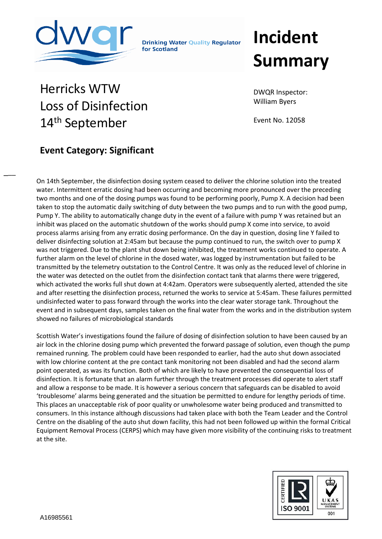

**Drinking Water Quality Regulator** for Scotland

## **Incident Summary**

## Herricks WTW Loss of Disinfection 14<sup>th</sup> September

DWQR Inspector: William Byers

Event No. 12058

## **Event Category: Significant**

 $\overline{\phantom{a}}$ 

On 14th September, the disinfection dosing system ceased to deliver the chlorine solution into the treated water. Intermittent erratic dosing had been occurring and becoming more pronounced over the preceding two months and one of the dosing pumps was found to be performing poorly, Pump X. A decision had been taken to stop the automatic daily switching of duty between the two pumps and to run with the good pump, Pump Y. The ability to automatically change duty in the event of a failure with pump Y was retained but an inhibit was placed on the automatic shutdown of the works should pump X come into service, to avoid process alarms arising from any erratic dosing performance. On the day in question, dosing line Y failed to deliver disinfecting solution at 2:45am but because the pump continued to run, the switch over to pump X was not triggered. Due to the plant shut down being inhibited, the treatment works continued to operate. A further alarm on the level of chlorine in the dosed water, was logged by instrumentation but failed to be transmitted by the telemetry outstation to the Control Centre. It was only as the reduced level of chlorine in the water was detected on the outlet from the disinfection contact tank that alarms there were triggered, which activated the works full shut down at 4:42am. Operators were subsequently alerted, attended the site and after resetting the disinfection process, returned the works to service at 5:45am. These failures permitted undisinfected water to pass forward through the works into the clear water storage tank. Throughout the event and in subsequent days, samples taken on the final water from the works and in the distribution system showed no failures of microbiological standards

Scottish Water's investigations found the failure of dosing of disinfection solution to have been caused by an air lock in the chlorine dosing pump which prevented the forward passage of solution, even though the pump remained running. The problem could have been responded to earlier, had the auto shut down associated with low chlorine content at the pre contact tank monitoring not been disabled and had the second alarm point operated, as was its function. Both of which are likely to have prevented the consequential loss of disinfection. It is fortunate that an alarm further through the treatment processes did operate to alert staff and allow a response to be made. It is however a serious concern that safeguards can be disabled to avoid 'troublesome' alarms being generated and the situation be permitted to endure for lengthy periods of time. This places an unacceptable risk of poor quality or unwholesome water being produced and transmitted to consumers. In this instance although discussions had taken place with both the Team Leader and the Control Centre on the disabling of the auto shut down facility, this had not been followed up within the formal Critical Equipment Removal Process (CERPS) which may have given more visibility of the continuing risks to treatment at the site.